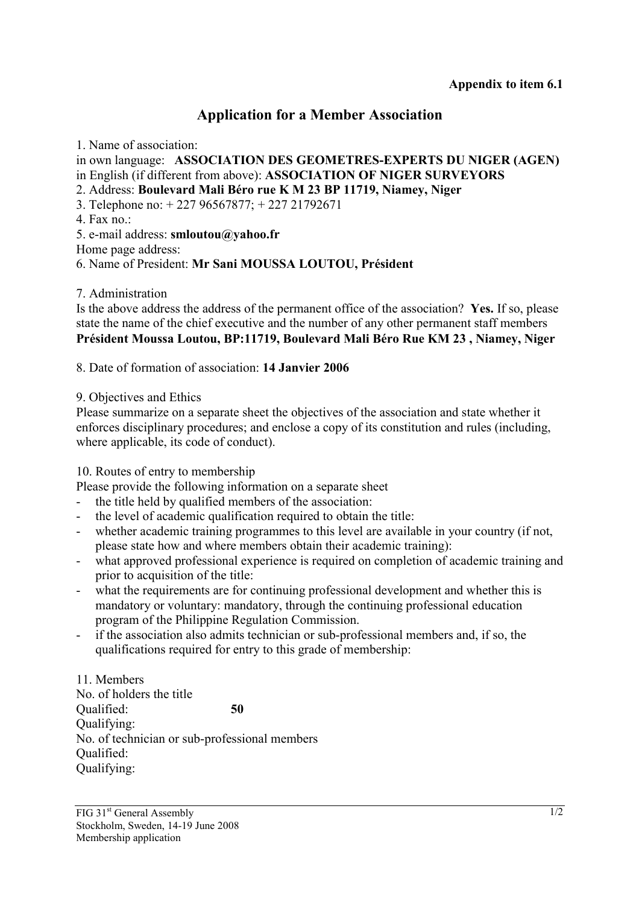# **Application for a Member Association**

1. Name of association:

in own language: **ASSOCIATION DES GEOMETRES-EXPERTS DU NIGER (AGEN)** in English (if different from above): **ASSOCIATION OF NIGER SURVEYORS**

2. Address: **Boulevard Mali Béro rue K M 23 BP 11719, Niamey, Niger**

3. Telephone no: + 227 96567877; + 227 21792671

4. Fax no $\cdot$ 

5. e-mail address: **smloutou@yahoo.fr** 

Home page address:

6. Name of President: **Mr Sani MOUSSA LOUTOU, Président**

7. Administration

Is the above address the address of the permanent office of the association? **Yes.** If so, please state the name of the chief executive and the number of any other permanent staff members **Président Moussa Loutou, BP:11719, Boulevard Mali Béro Rue KM 23 , Niamey, Niger** 

8. Date of formation of association: **14 Janvier 2006** 

### 9. Objectives and Ethics

Please summarize on a separate sheet the objectives of the association and state whether it enforces disciplinary procedures; and enclose a copy of its constitution and rules (including, where applicable, its code of conduct).

10. Routes of entry to membership

Please provide the following information on a separate sheet

- the title held by qualified members of the association:
- the level of academic qualification required to obtain the title:
- whether academic training programmes to this level are available in your country (if not, please state how and where members obtain their academic training):
- what approved professional experience is required on completion of academic training and prior to acquisition of the title:
- what the requirements are for continuing professional development and whether this is mandatory or voluntary: mandatory, through the continuing professional education program of the Philippine Regulation Commission.
- if the association also admits technician or sub-professional members and, if so, the qualifications required for entry to this grade of membership:

11. Members No. of holders the title Qualified: **50** Qualifying: No. of technician or sub-professional members Qualified: Qualifying: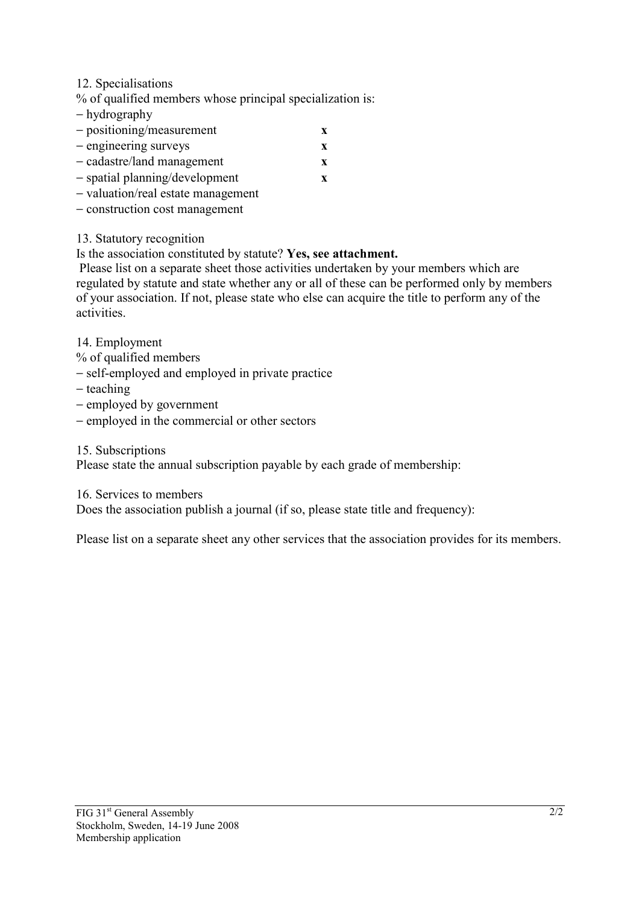### 12. Specialisations

% of qualified members whose principal specialization is:

- − hydrography
- − positioning/measurement **x**
- − engineering surveys **x**
- − cadastre/land management **x**
- − spatial planning/development **x**
- − valuation/real estate management
- − construction cost management

## 13. Statutory recognition

Is the association constituted by statute? **Yes, see attachment.**

 Please list on a separate sheet those activities undertaken by your members which are regulated by statute and state whether any or all of these can be performed only by members of your association. If not, please state who else can acquire the title to perform any of the activities.

14. Employment

- % of qualified members
- − self-employed and employed in private practice
- − teaching
- − employed by government
- − employed in the commercial or other sectors

15. Subscriptions

Please state the annual subscription payable by each grade of membership:

16. Services to members

Does the association publish a journal (if so, please state title and frequency):

Please list on a separate sheet any other services that the association provides for its members.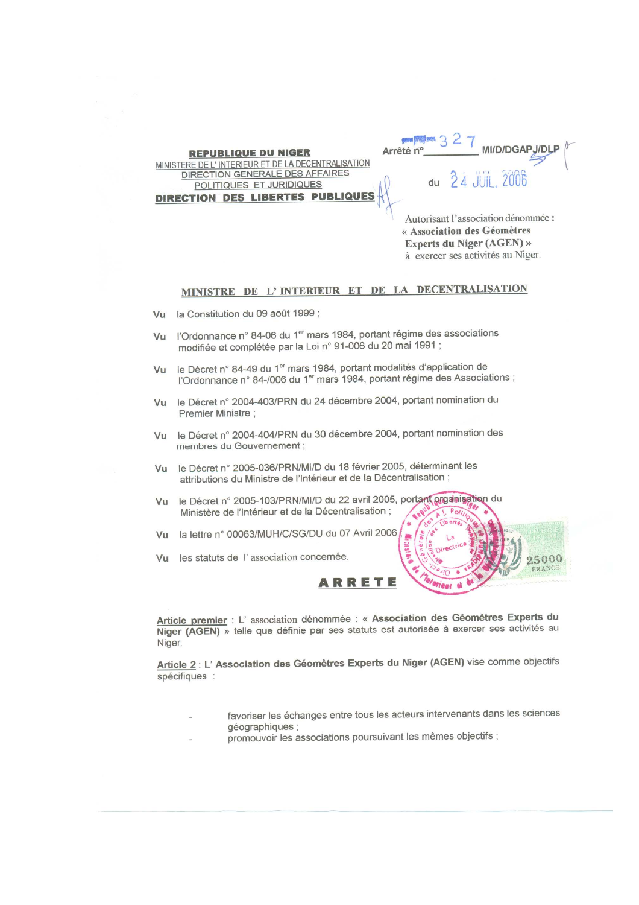come state and MI/D/DGAPJ/DLP Arrêté n° **REPUBLIQUE DU NIGER** MINISTERE DE L'INTERIEUR ET DE LA DECENTRALISATION DIRECTION GENERALE DES AFFAIRES du POLITIQUES ET JURIDIQUES DIRECTION DES LIBERTES PUBL

Autorisant l'association dénommée : « Association des Géomètres Experts du Niger (AGEN) » à exercer ses activités au Niger.

### MINISTRE DE L'INTERIEUR ET DE LA DECENTRALISATION

- Vu la Constitution du 09 août 1999 ;
- Vu l'Ordonnance n° 84-06 du 1<sup>er</sup> mars 1984, portant régime des associations modifiée et complétée par la Loi n° 91-006 du 20 mai 1991 :
- Vu le Décret n° 84-49 du 1<sup>er</sup> mars 1984, portant modalités d'application de l'Ordonnance n° 84-/006 du 1<sup>er</sup> mars 1984, portant régime des Associations ;
- Vu le Décret n° 2004-403/PRN du 24 décembre 2004, portant nomination du Premier Ministre:
- Vu le Décret n° 2004-404/PRN du 30 décembre 2004, portant nomination des membres du Gouvernement;
- le Décret n° 2005-036/PRN/MI/D du 18 février 2005, déterminant les  $V_{11}$ attributions du Ministre de l'Intérieur et de la Décentralisation :
- Vu le Décret n° 2005-103/PRN/MI/D du 22 avril 2005, portant organisation du Ministère de l'Intérieur et de la Décentralisation ;
- Vu la lettre n° 00063/MUH/C/SG/DU du 07 Avril 2006
- Vu les statuts de l'association concernée.



Article premier : L'association dénommée : « Association des Géomètres Experts du Niger (AGEN) » telle que définie par ses statuts est autorisée à exercer ses activités au Niger.

Article 2 : L' Association des Géomètres Experts du Niger (AGEN) vise comme objectifs spécifiques :

- favoriser les échanges entre tous les acteurs intervenants dans les sciences géographiques ;
- promouvoir les associations poursuivant les mêmes objectifs ;